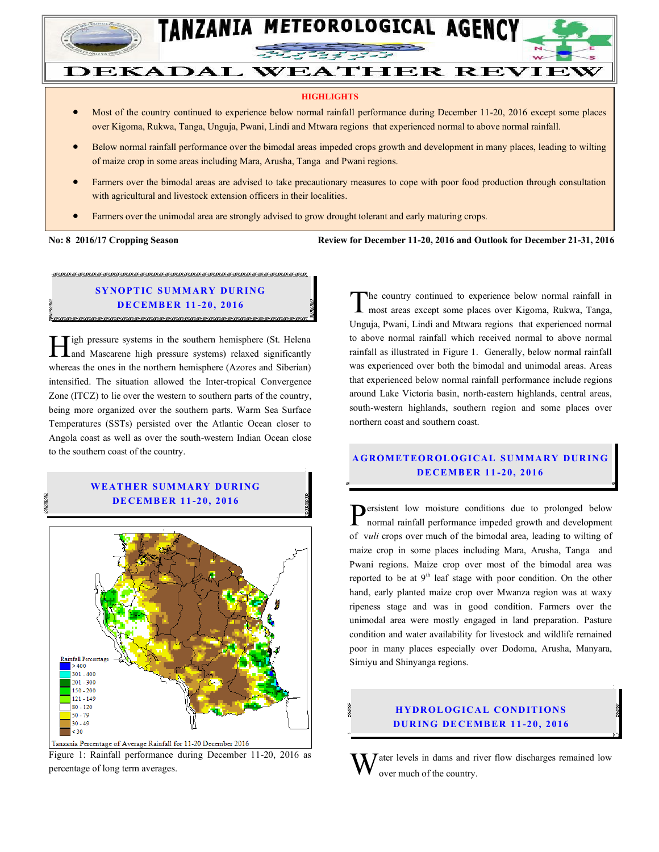

# **DEKADAL WEATHER REVIEW**

#### **HIGHLIGHTS**

- Most of the country continued to experience below normal rainfall performance during December 11-20, 2016 except some places over Kigoma, Rukwa, Tanga, Unguja, Pwani, Lindi and Mtwara regions that experienced normal to above normal rainfall.
- Below normal rainfall performance over the bimodal areas impeded crops growth and development in many places, leading to wilting of maize crop in some areas including Mara, Arusha, Tanga and Pwani regions.
- Farmers over the bimodal areas are advised to take precautionary measures to cope with poor food production through consultation with agricultural and livestock extension officers in their localities.
- Farmers over the unimodal area are strongly advised to grow drought tolerant and early maturing crops.

#### No: 8 2016/17 Cropping Season

#### **No: 8 2016/17 Cropping Season Review for December 11-20, 2016 and Outlook for December 21-31, 2016**

## **SYNOPTIC SUMMARY DURING DE CEMB ER 11 -20, 201 6**

<u>TA KANA KANA KA KANA KANA KANA KANA KA KANA KANA KANA KANA KANA KANA KANA KANA KANA KANA KANA KANA KANA KANA K</u>

igh pressure systems in the southern hemisphere (St. Helena **igh pressure systems in the southern hemisphere (St. Helena** and Mascarene high pressure systems) relaxed significantly whereas the ones in the northern hemisphere (Azores and Siberian) intensified. The situation allowed the Inter-tropical Convergence Zone (ITCZ) to lie over the western to southern parts of the country, being more organized over the southern parts. Warm Sea Surface Temperatures (SSTs) persisted over the Atlantic Ocean closer to Angola coast as well as over the south-western Indian Ocean close to the southern coast of the country.

#### **W EATH ER SUM MARY D UR ING DE CEMB ER 11 -20, 201 6**



Figure 1: Rainfall performance during December 11-20, 2016 as percentage of long term averages.

he country continued to experience below normal rainfall in The country continued to experience below normal rainfall in most areas except some places over Kigoma, Rukwa, Tanga, Unguja, Pwani, Lindi and Mtwara regions that experienced normal to above normal rainfall which received normal to above normal rainfall as illustrated in Figure 1. Generally, below normal rainfall was experienced over both the bimodal and unimodal areas. Areas that experienced below normal rainfall performance include regions around Lake Victoria basin, north-eastern highlands, central areas, south-western highlands, southern region and some places over northern coast and southern coast.

## **A GROM ETEOR OLO GICAL SU MMA RY DUR IN G DE CEMB ER 11 -20, 2016**

 $\sum$  ersistent low moisture conditions due to prolonged below normal rainfall performance impeded growth and development normal rainfall performance impeded growth and development of v*uli* crops over much of the bimodal area, leading to wilting of maize crop in some places including Mara, Arusha, Tanga and Pwani regions. Maize crop over most of the bimodal area was reported to be at  $9<sup>th</sup>$  leaf stage with poor condition. On the other hand, early planted maize crop over Mwanza region was at waxy ripeness stage and was in good condition. Farmers over the unimodal area were mostly engaged in land preparation. Pasture condition and water availability for livestock and wildlife remained poor in many places especially over Dodoma, Arusha, Manyara, Simiyu and Shinyanga regions.

### **HYDROLOGICAL CONDITIONS DU R ING DE CEMB ER 11 -20, 2016**

ater levels in dams and river flow discharges remained low over much of the country. W